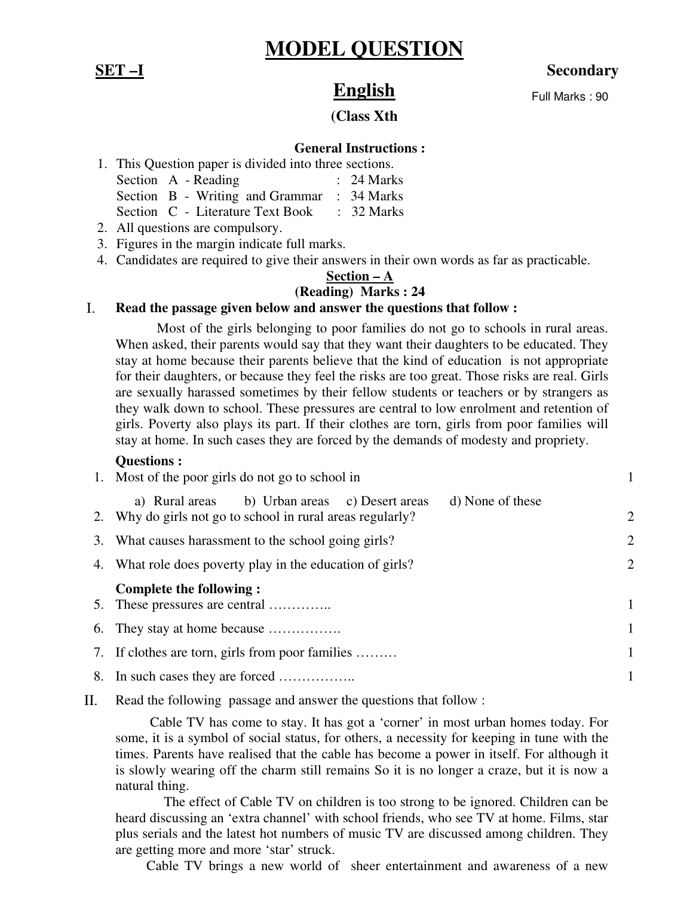# **MODEL QUESTION**

## **SET –I** Secondary

Full Marks : 90

# **English**

#### **(Class Xth**

### **General Instructions :**

| 1. This Question paper is divided into three sections. |                                  |  |                       |  |
|--------------------------------------------------------|----------------------------------|--|-----------------------|--|
|                                                        | Section A - Reading              |  | $: 24$ Marks          |  |
|                                                        | Section B - Writing and Grammar  |  | $\therefore$ 34 Marks |  |
|                                                        | Section C - Literature Text Book |  | $\therefore$ 32 Marks |  |
|                                                        |                                  |  |                       |  |

2. All questions are compulsory.

- 3. Figures in the margin indicate full marks.
- 4. Candidates are required to give their answers in their own words as far as practicable.

## **Section – A**

## **(Reading) Marks : 24**

#### I. **Read the passage given below and answer the questions that follow :**

 Most of the girls belonging to poor families do not go to schools in rural areas. When asked, their parents would say that they want their daughters to be educated. They stay at home because their parents believe that the kind of education is not appropriate for their daughters, or because they feel the risks are too great. Those risks are real. Girls are sexually harassed sometimes by their fellow students or teachers or by strangers as they walk down to school. These pressures are central to low enrolment and retention of girls. Poverty also plays its part. If their clothes are torn, girls from poor families will stay at home. In such cases they are forced by the demands of modesty and propriety.

#### **Questions :**

| 1. Most of the poor girls do not go to school in                                                                                |              |  |
|---------------------------------------------------------------------------------------------------------------------------------|--------------|--|
| a) Rural areas b) Urban areas c) Desert areas<br>d) None of these<br>2. Why do girls not go to school in rural areas regularly? | 2            |  |
| 3. What causes harassment to the school going girls?                                                                            |              |  |
| 4. What role does poverty play in the education of girls?                                                                       | 2            |  |
|                                                                                                                                 |              |  |
| Complete the following :                                                                                                        | $\mathbf{1}$ |  |
| 6. They stay at home because                                                                                                    | 1            |  |
| 7. If clothes are torn, girls from poor families                                                                                | 1            |  |

II. Read the following passage and answer the questions that follow :

 Cable TV has come to stay. It has got a 'corner' in most urban homes today. For some, it is a symbol of social status, for others, a necessity for keeping in tune with the times. Parents have realised that the cable has become a power in itself. For although it is slowly wearing off the charm still remains So it is no longer a craze, but it is now a natural thing.

 The effect of Cable TV on children is too strong to be ignored. Children can be heard discussing an 'extra channel' with school friends, who see TV at home. Films, star plus serials and the latest hot numbers of music TV are discussed among children. They are getting more and more 'star' struck.

Cable TV brings a new world of sheer entertainment and awareness of a new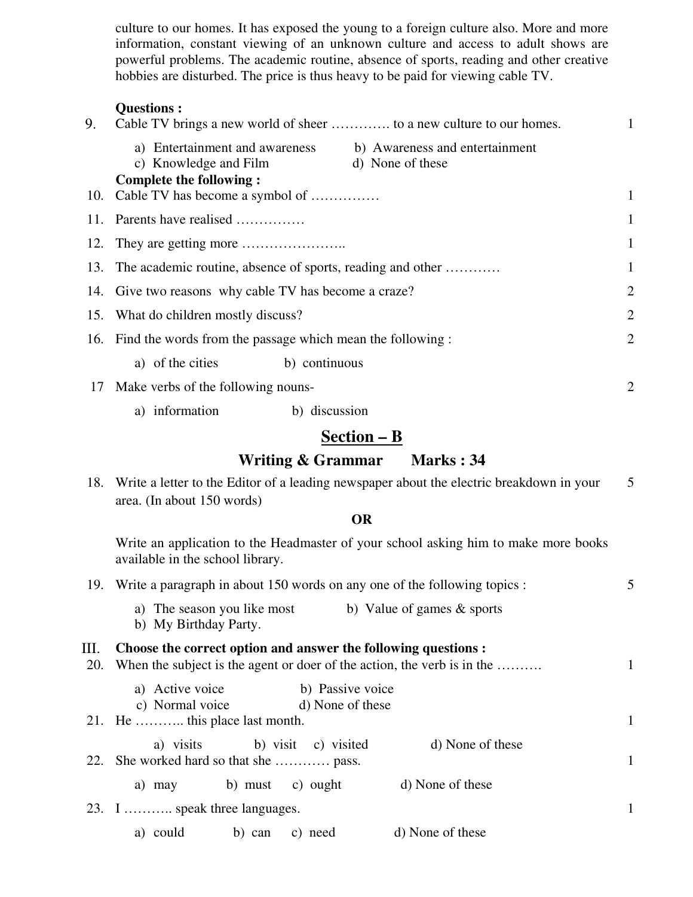culture to our homes. It has exposed the young to a foreign culture also. More and more information, constant viewing of an unknown culture and access to adult shows are powerful problems. The academic routine, absence of sports, reading and other creative hobbies are disturbed. The price is thus heavy to be paid for viewing cable TV.

#### **Questions :**

| 9. | Cable TV brings a new world of sheer  to a new culture to our homes.                                                                                                                |              |
|----|-------------------------------------------------------------------------------------------------------------------------------------------------------------------------------------|--------------|
|    | a) Entertainment and awareness b) Awareness and entertainment<br>c) Knowledge and Film<br>d) None of these<br><b>Complete the following:</b><br>10. Cable TV has become a symbol of | $\mathbf{1}$ |
|    | 11. Parents have realised                                                                                                                                                           | 1            |
|    |                                                                                                                                                                                     | 1            |
|    | 13. The academic routine, absence of sports, reading and other                                                                                                                      |              |
|    | 14. Give two reasons why cable TV has become a craze?                                                                                                                               | 2            |
|    | 15. What do children mostly discuss?                                                                                                                                                | 2            |
|    | 16. Find the words from the passage which mean the following :                                                                                                                      | 2            |
|    | a) of the cities b) continuous                                                                                                                                                      |              |
|    | 17 Make verbs of the following nouns-                                                                                                                                               | 2            |
|    | a) information<br>b) discussion                                                                                                                                                     |              |

# **Section – B**

## **Writing & Grammar Marks : 34**

18. Write a letter to the Editor of a leading newspaper about the electric breakdown in your area. (In about 150 words) 5

#### **OR**

Write an application to the Headmaster of your school asking him to make more books available in the school library.

|           |                                        | 19. Write a paragraph in about 150 words on any one of the following topics : |                                                                      | 5                                                                                                                                         |              |
|-----------|----------------------------------------|-------------------------------------------------------------------------------|----------------------------------------------------------------------|-------------------------------------------------------------------------------------------------------------------------------------------|--------------|
|           | b) My Birthday Party.                  |                                                                               |                                                                      | a) The season you like most b) Value of games $\&$ sports                                                                                 |              |
| Ш.<br>20. |                                        |                                                                               |                                                                      | Choose the correct option and answer the following questions :<br>When the subject is the agent or doer of the action, the verb is in the | 1            |
|           | 21. He  this place last month.         |                                                                               | a) Active voice b) Passive voice<br>c) Normal voice d) None of these |                                                                                                                                           | $\mathbf{1}$ |
|           | 22. She worked hard so that she  pass. |                                                                               | a) visits b) visit c) visited                                        | d) None of these                                                                                                                          | 1            |
|           | a) may                                 |                                                                               | b) must c) ought                                                     | d) None of these                                                                                                                          |              |
|           | 23. I  speak three languages.          |                                                                               |                                                                      |                                                                                                                                           | 1            |
|           | a) could                               | b) can                                                                        | c) need                                                              | d) None of these                                                                                                                          |              |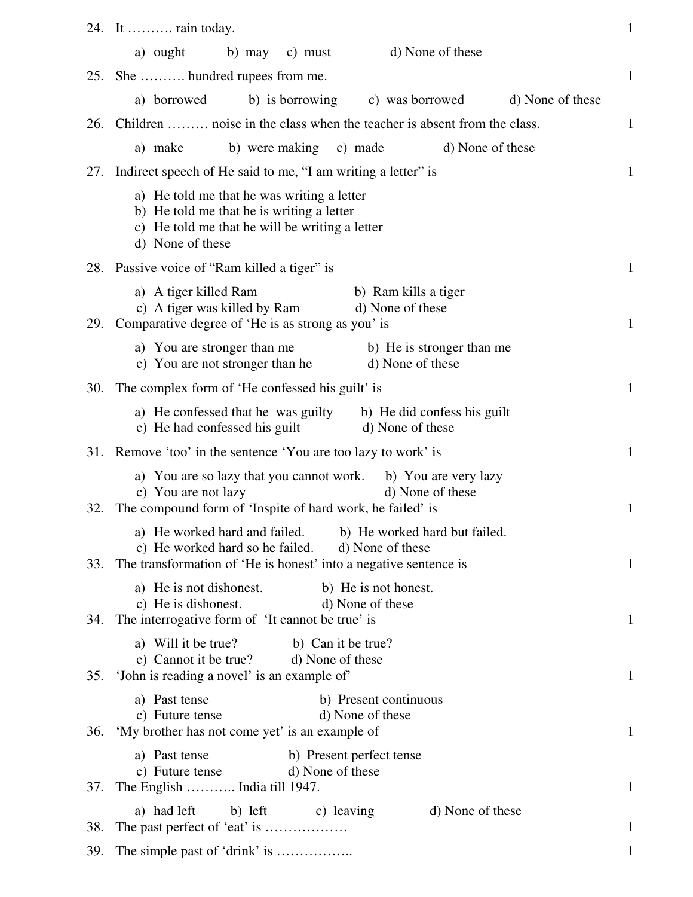|            | 24. It  rain today.                                                                                                                                                                     | $\mathbf{1}$ |
|------------|-----------------------------------------------------------------------------------------------------------------------------------------------------------------------------------------|--------------|
|            | d) None of these<br>b) may c) must<br>a) ought                                                                                                                                          |              |
| 25.        | She  hundred rupees from me.                                                                                                                                                            | $\mathbf{1}$ |
|            | a) borrowed<br>b) is borrowing<br>c) was borrowed<br>d) None of these                                                                                                                   |              |
| <b>26.</b> | Children  noise in the class when the teacher is absent from the class.                                                                                                                 | $\mathbf{1}$ |
|            | d) None of these<br>b) were making c) made<br>a) make                                                                                                                                   |              |
| 27.        | Indirect speech of He said to me, "I am writing a letter" is                                                                                                                            | $\mathbf{1}$ |
|            | a) He told me that he was writing a letter<br>b) He told me that he is writing a letter<br>c) He told me that he will be writing a letter<br>d) None of these                           |              |
|            | 28. Passive voice of "Ram killed a tiger" is                                                                                                                                            | $\mathbf{1}$ |
| 29.        | a) A tiger killed Ram<br>b) Ram kills a tiger<br>c) A tiger was killed by Ram<br>d) None of these<br>Comparative degree of 'He is as strong as you' is                                  | $\mathbf{1}$ |
|            | b) He is stronger than me<br>a) You are stronger than me<br>d) None of these<br>c) You are not stronger than he                                                                         |              |
| 30.        | The complex form of 'He confessed his guilt' is                                                                                                                                         | $\mathbf{1}$ |
|            | a) He confessed that he was guilty b) He did confess his guilt<br>c) He had confessed his guilt<br>d) None of these                                                                     |              |
| 31.        | Remove 'too' in the sentence 'You are too lazy to work' is                                                                                                                              | $\mathbf{1}$ |
| 32.        | a) You are so lazy that you cannot work.<br>b) You are very lazy<br>c) You are not lazy<br>d) None of these<br>The compound form of 'Inspite of hard work, he failed' is                | 1            |
|            | a) He worked hard and failed. b) He worked hard but failed.<br>c) He worked hard so he failed. d) None of these<br>33. The transformation of 'He is honest' into a negative sentence is | $\mathbf{1}$ |
| 34.        | a) He is not dishonest.<br>b) He is not honest.<br>c) He is dishonest.<br>d) None of these<br>The interrogative form of 'It cannot be true' is                                          | $\mathbf{1}$ |
| 35.        | a) Will it be true?<br>b) Can it be true?<br>c) Cannot it be true? d) None of these<br>'John is reading a novel' is an example of'                                                      | $\mathbf{1}$ |
| 36.        | a) Past tense<br>b) Present continuous<br>d) None of these<br>c) Future tense<br>'My brother has not come yet' is an example of                                                         | $\mathbf{1}$ |
| 37.        | a) Past tense<br>b) Present perfect tense<br>c) Future tense<br>d) None of these<br>The English  India till 1947.                                                                       | $\mathbf{1}$ |
| 38.        | a) had left<br>b) left c) leaving<br>d) None of these                                                                                                                                   | 1            |
| 39.        |                                                                                                                                                                                         | 1            |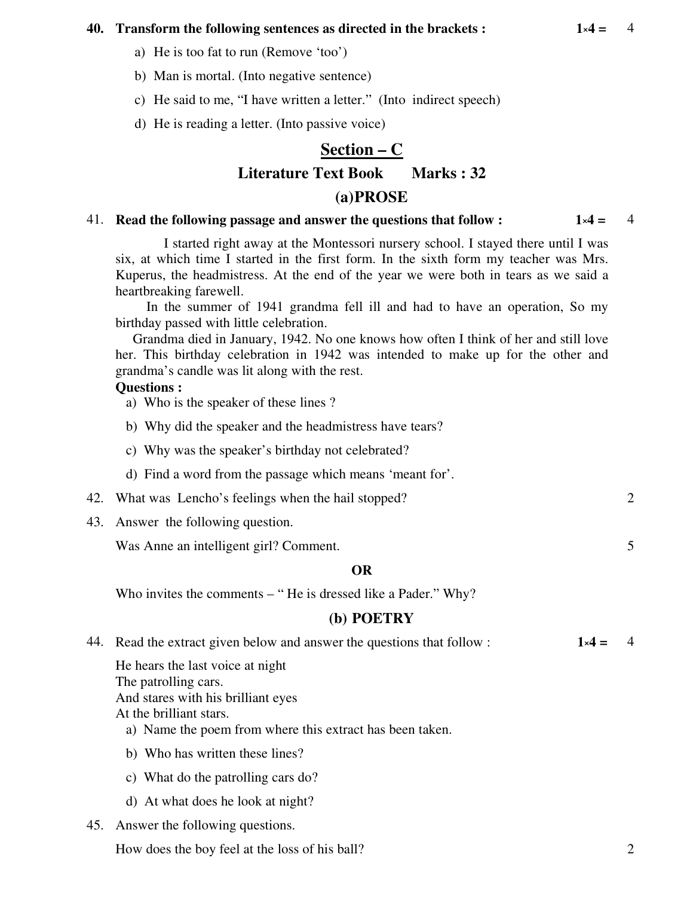#### **40. Transform the following sentences as directed in the brackets :**  $1 \times 4 = 4$

- a) He is too fat to run (Remove 'too')
- b) Man is mortal. (Into negative sentence)
- c) He said to me, "I have written a letter." (Into indirect speech)
- d) He is reading a letter. (Into passive voice)

# **Section – C Literature Text Book Marks : 32 (a)PROSE**

#### 41. **Read the following passage and answer the questions that follow : 1**×**4 =** 4

 I started right away at the Montessori nursery school. I stayed there until I was six, at which time I started in the first form. In the sixth form my teacher was Mrs. Kuperus, the headmistress. At the end of the year we were both in tears as we said a heartbreaking farewell.

In the summer of 1941 grandma fell ill and had to have an operation, So my birthday passed with little celebration.

 Grandma died in January, 1942. No one knows how often I think of her and still love her. This birthday celebration in 1942 was intended to make up for the other and grandma's candle was lit along with the rest.

## **Questions :**

- a) Who is the speaker of these lines ?
- b) Why did the speaker and the headmistress have tears?
- c) Why was the speaker's birthday not celebrated?
- d) Find a word from the passage which means 'meant for'.
- 42. What was Lencho's feelings when the hail stopped? 2
- 43. Answer the following question.

Was Anne an intelligent girl? Comment. 5

#### **OR**

Who invites the comments – "He is dressed like a Pader." Why?

## **(b) POETRY**

| 44. Read the extract given below and answer the questions that follow : | $1\times 4 =$ |  |
|-------------------------------------------------------------------------|---------------|--|
| He hears the last voice at night                                        |               |  |
| The patrolling cars.                                                    |               |  |
|                                                                         |               |  |

And stares with his brilliant eyes At the brilliant stars.

- a) Name the poem from where this extract has been taken.
- b) Who has written these lines?
- c) What do the patrolling cars do?
- d) At what does he look at night?
- 45. Answer the following questions.

How does the boy feel at the loss of his ball? 2